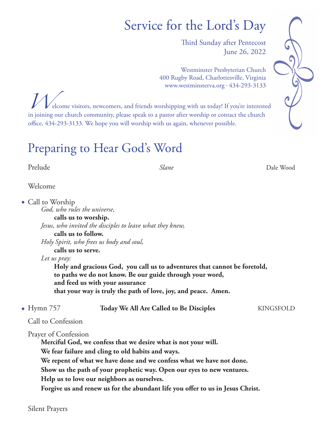# Service for the Lord's Day

Third Sunday after Pentecost June 26, 2022

Westminster Presbyterian Church 400 Rugby Road, Charlottesville, Virginia www.westminsterva.org . 434-293-3133



*W*elcome visitors, newcomers, and friends worshipping with us today! If you're interested in joining our church community, please speak to a pastor after worship or contact the church office, 434-293-3133. We hope you will worship with us again, whenever possible.

## Preparing to Hear God's Word

Prelude *Slane* Dale Wood

Welcome

| $\bullet$ Call to Worship    |                                                                                                                                                               |                  |
|------------------------------|---------------------------------------------------------------------------------------------------------------------------------------------------------------|------------------|
| God, who rules the universe, |                                                                                                                                                               |                  |
|                              | calls us to worship.                                                                                                                                          |                  |
|                              | Jesus, who invited the disciples to leave what they knew,                                                                                                     |                  |
| calls us to follow.          |                                                                                                                                                               |                  |
|                              | Holy Spirit, who frees us body and soul,                                                                                                                      |                  |
| calls us to serve.           |                                                                                                                                                               |                  |
| Let us pray:                 |                                                                                                                                                               |                  |
|                              | to paths we do not know. Be our guide through your word,<br>and feed us with your assurance<br>that your way is truly the path of love, joy, and peace. Amen. |                  |
| $\bullet$ Hymn 757           | <b>Today We All Are Called to Be Disciples</b>                                                                                                                | <b>KINGSFOLD</b> |
| Call to Confession           |                                                                                                                                                               |                  |
| Prayer of Confession         | Merciful God, we confess that we desire what is not your will.<br>We fear failure and cling to old habits and ways.                                           |                  |
|                              | We repent of what we have done and we confess what we have not done.                                                                                          |                  |

 **Show us the path of your prophetic way. Open our eyes to new ventures.** 

 **Help us to love our neighbors as ourselves.** 

 **Forgive us and renew us for the abundant life you offer to us in Jesus Christ.**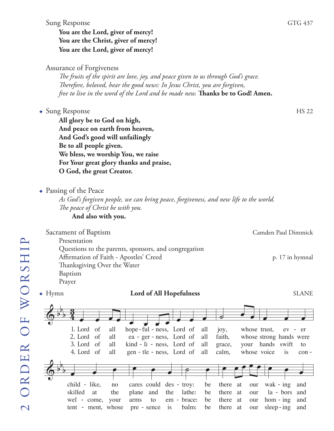#### Sung Response GTG 437

## **You are the Lord, giver of mercy! You are the Christ, giver of mercy! You are the Lord, giver of mercy!**

#### Assurance of Forgiveness

*The fruits of the spirit are love, joy, and peace given to us through God's grace. Therefore, beloved, hear the good news: In Jesus Christ, you are forgiven, free to live in the word of the Lord and be made new.* **Thanks be to God! Amen.** 

#### • Sung Response HS 22

**All glory be to God on high, And peace on earth from heaven, And God's good will unfailingly Be to all people given. We bless, we worship You, we raise For Your great glory thanks and praise, O God, the great Creator.**

 $\bullet$  Passing of the Peace

*As God's forgiven people, we can bring peace, forgiveness, and new life to the world. The peace of Christ be with you.*

**And also with you.**

#### Sacrament of Baptism Camden Paul Dimmick Presentation Questions to the parents, sponsors, and congregation Affirmation of Faith - Apostles' Creed p. 17 in hymnal Thanksgiving Over the Water Baptism Prayer ◆ Hymn **Lord of All Hopefulness** SLANE  $\oint_0^b \frac{3}{4}$ 2. Lord of 1. Lord 3. Lord of 4. Lord of of all all all all  $\bullet$   $\bullet$   $\bullet$   $\bullet$ hope-ful - ness, Lord of ea - ger - ness, Lord of kind - li - ness, Lord of gen - tle - ness, Lord of œ œ œ all all all all  $\overline{\bullet}$ œ œ joy , faith , grace , calm , whose trust , whose strong hands were your hands swift whose voice œ œ  $\overline{\phantom{a}}$ ev is er to con -  $\bm{\overline{\Theta}}$ b b b œ œ œ œ œ œ  $\overline{P}$ œ œ œ œ œ œ œ œ œ **SLANE**

child - like, skilled wel - come, tent - ment, whose at no the your cares could des - troy: plane arms pre sence is and to the em - brace: lathe : balm : be be be be there there at there at there at at our our our our wak - ing la - bors hom - ing sleep-ing and and and and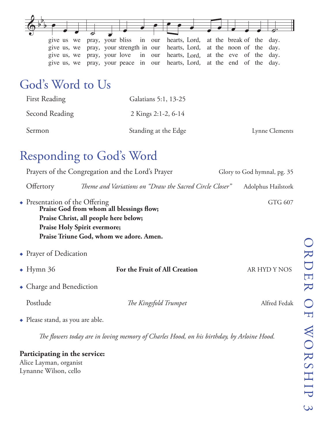|  | give us we pray, your bliss in our hearts, Lord, at the break of the day.    |  |  |  |
|--|------------------------------------------------------------------------------|--|--|--|
|  | give us, we pray, your strength in our hearts, Lord, at the noon of the day. |  |  |  |
|  | give us, we pray, your love in our hearts, Lord, at the eve of the day.      |  |  |  |
|  | give us, we pray, your peace in our hearts, Lord, at the end of the day.     |  |  |  |

## God's Word to Us

| <b>First Reading</b> | Galatians 5:1, 13-25 |                |
|----------------------|----------------------|----------------|
| Second Reading       | 2 Kings 2:1-2, 6-14  |                |
| Sermon               | Standing at the Edge | Lynne Clements |

## Responding to God's Word

| give us we<br>give us, we<br>give us, we<br>give us, we                                                        | pray, your bliss<br>hearts, Lord,<br>in<br>our<br>pray, your strength in our<br>hearts, Lord,<br>pray, your love<br>hearts, Lord,<br>in<br>our<br>hearts, Lord,<br>pray, your peace<br>1n<br>our | at the break of the<br>day.<br>at the noon of the<br>day.<br>at the eve<br>of the<br>day.<br>at the end<br>of<br>the<br>day. |
|----------------------------------------------------------------------------------------------------------------|--------------------------------------------------------------------------------------------------------------------------------------------------------------------------------------------------|------------------------------------------------------------------------------------------------------------------------------|
| God's Word to Us                                                                                               |                                                                                                                                                                                                  |                                                                                                                              |
| <b>First Reading</b>                                                                                           | Galatians 5:1, 13-25                                                                                                                                                                             |                                                                                                                              |
| <b>Second Reading</b>                                                                                          | 2 Kings 2:1-2, 6-14                                                                                                                                                                              |                                                                                                                              |
| Sermon                                                                                                         | Standing at the Edge                                                                                                                                                                             | Lynne Clements                                                                                                               |
| <b>Responding to God's Word</b>                                                                                |                                                                                                                                                                                                  |                                                                                                                              |
|                                                                                                                | Prayers of the Congregation and the Lord's Prayer                                                                                                                                                | Glory to God hymnal, pg. 35                                                                                                  |
| Offertory                                                                                                      | Theme and Variations on "Draw the Sacred Circle Closer"                                                                                                                                          | Adolphus Hailstork                                                                                                           |
| • Presentation of the Offering<br>Praise Christ, all people here below;<br><b>Praise Holy Spirit evermore;</b> | Praise God from whom all blessings flow;<br>Praise Triune God, whom we adore. Amen.                                                                                                              | GTG 607                                                                                                                      |
| • Prayer of Dedication                                                                                         |                                                                                                                                                                                                  |                                                                                                                              |
| $\bullet$ Hymn 36                                                                                              | For the Fruit of All Creation                                                                                                                                                                    | AR HYD Y NOS                                                                                                                 |
| $\bullet$ Charge and Benediction                                                                               |                                                                                                                                                                                                  |                                                                                                                              |
| Postlude                                                                                                       | The Kingsfold Trumpet                                                                                                                                                                            | Alfred Fedak                                                                                                                 |
| $\bullet$ Please stand, as you are able.                                                                       |                                                                                                                                                                                                  |                                                                                                                              |
|                                                                                                                | The flowers today are in loving memory of Charles Hood, on his birthday, by Arloine Hood.                                                                                                        |                                                                                                                              |
| Participating in the service:<br>Alice Layman, organist<br>Lynanne Wilson, cello                               |                                                                                                                                                                                                  |                                                                                                                              |

### **Participating in the service:**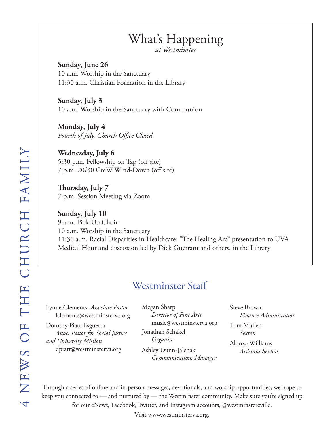## What's Happening

*at Westminster*

**Sunday, June 26** 10 a.m. Worship in the Sanctuary 11:30 a.m. Christian Formation in the Library

**Sunday, July 3** 10 a.m. Worship in the Sanctuary with Communion

**Monday, July 4** *Fourth of July, Church Office Closed*

**Wednesday, July 6** 5:30 p.m. Fellowship on Tap (off site) 7 p.m. 20/30 CreW Wind-Down (off site)

**Thursday, July 7** 7 p.m. Session Meeting via Zoom

**Sunday, July 10** 9 a.m. Pick-Up Choir 10 a.m. Worship in the Sanctuary 11:30 a.m. Racial Disparities in Healthcare: "The Healing Arc" presentation to UVA Medical Hour and discussion led by Dick Guerrant and others, in the Library

## Westminster Staff

Lynne Clements, *Associate Pastor* lclements@westminsterva.org

Dorothy Piatt-Esguerra *Assoc. Pastor for Social Justice and University Mission*  dpiatt@westminsterva.org

Megan Sharp *Director of Fine Arts* music@westminsterva.org Jonathan Schakel *Organist* Ashley Dunn-Jalenak *Communications Manager*

Steve Brown *Finance Administrator* Tom Mullen *Sexton* Alonzo Williams *Assistant Sexton*

Through a series of online and in-person messages, devotionals, and worship opportunities, we hope to keep you connected to — and nurtured by — the Westminster community. Make sure you're signed up for our eNews, Facebook, Twitter, and Instagram accounts, @westminstercville.

Visit www.westminsterva.org.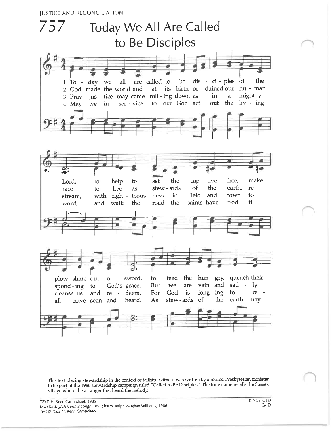

This text placing stewardship in the context of faithful witness was written by a retired Presbyterian minister<br>to be part of the 1986 stewardship campaign titled "Called to Be Disciples." The tune name recalls the Sussex village where the arranger first heard the melody.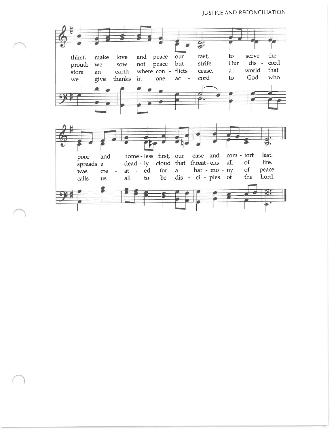#### **JUSTICE AND RECONCILIATION**